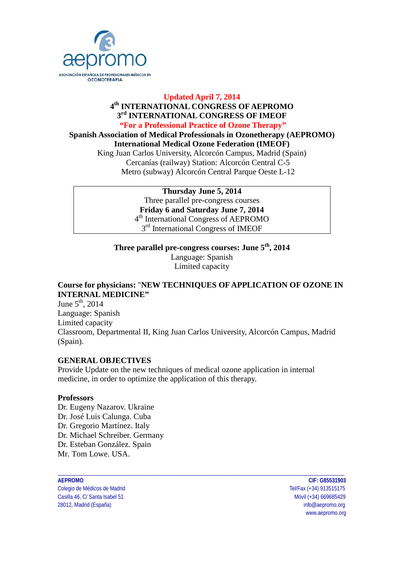

#### **Updated April 7, 2014 4th INTERNATIONAL CONGRESS OF AEPROMO 3rd INTERNATIONAL CONGRESS OF IMEOF "For a Professional Practice of Ozone Therapy"**

**Spanish Association of Medical Professionals in Ozonetherapy (AEPROMO) International Medical Ozone Federation (IMEOF)** King Juan Carlos University, Alcorcón Campus, Madrid (Spain)

Cercanías (railway) Station: Alcorcón Central C-5 Metro (subway) Alcorcón Central Parque Oeste L-12

> **Thursday June 5, 2014** Three parallel pre-congress courses **Friday 6 and Saturday June 7, 2014**  4th International Congress of AEPROMO  $3<sup>rd</sup>$  International Congress of IMEOF

**Three parallel pre-congress courses: June 5th, 2014** Language: Spanish Limited capacity

# **Course for physicians:** "**NEW TECHNIQUES OF APPLICATION OF OZONE IN INTERNAL MEDICINE"**

June  $5<sup>th</sup>$ , 2014 Language: Spanish Limited capacity Classroom, Departmental II, King Juan Carlos University, Alcorcón Campus, Madrid (Spain).

#### **GENERAL OBJECTIVES**

Provide Update on the new techniques of medical ozone application in internal medicine, in order to optimize the application of this therapy.

#### **Professors**

Dr. Eugeny Nazarov. Ukraine Dr. José Luis Calunga. Cuba Dr. Gregorio Martínez. Italy Dr. Michael Schreiber. Germany Dr. Esteban González. Spain Mr. Tom Lowe. USA.

# \_\_\_\_\_\_\_\_\_\_\_\_\_\_\_\_\_\_\_\_\_\_\_\_\_\_\_\_\_\_\_\_\_\_\_\_\_\_\_\_\_\_\_\_\_\_\_\_\_\_\_\_\_\_\_\_\_\_\_\_\_\_\_\_\_\_\_\_\_\_\_\_\_\_\_\_\_\_\_\_\_\_\_\_\_\_\_\_\_\_\_\_\_\_\_\_\_\_\_\_\_\_\_

Colegio de Médicos de Madrid Tel/Fax (+34) 913515175 Casilla 46, C/ Santa Isabel 51 and 2008 100 minutes and 2008 100 minutes and 2008/09/09 minutes and 2008/09/09 28012, Madrid (España) info@aepromo.org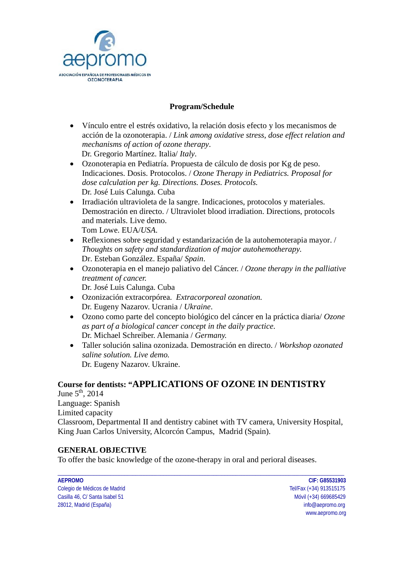

#### **Program/Schedule**

- Vínculo entre el estrés oxidativo, la relación dosis efecto y los mecanismos de acción de la ozonoterapia. / *Link among oxidative stress, dose effect relation and mechanisms of action of ozone therapy*. Dr. Gregorio Martínez. Italia/ *Italy*.
- Ozonoterapia en Pediatría. Propuesta de cálculo de dosis por Kg de peso. Indicaciones. Dosis. Protocolos. / *Ozone Therapy in Pediatrics. Proposal for dose calculation per kg. Directions. Doses. Protocols.*  Dr. José Luis Calunga. Cuba
- Irradiación ultravioleta de la sangre. Indicaciones, protocolos y materiales. Demostración en directo. / Ultraviolet blood irradiation. Directions, protocols and materials. Live demo. Tom Lowe. EUA/*USA*.
- Reflexiones sobre seguridad y estandarización de la autohemoterapia mayor. / *Thoughts on safety and standardization of major autohemotherapy.* Dr. Esteban González. España/ *Spain*.
- Ozonoterapia en el manejo paliativo del Cáncer. / *Ozone therapy in the palliative treatment of cancer.*  Dr. José Luis Calunga. Cuba
- Ozonización extracorpórea. *Extracorporeal ozonation.*  Dr. Eugeny Nazarov. Ucrania / *Ukraine*.
- Ozono como parte del concepto biológico del cáncer en la práctica diaria/ *Ozone as part of a biological cancer concept in the daily practice*. Dr. Michael Schreiber. Alemania / *Germany.*
- Taller solución salina ozonizada. Demostración en directo. / *Workshop ozonated saline solution. Live demo.*  Dr. Eugeny Nazarov. Ukraine.

#### **Course for dentists: "APPLICATIONS OF OZONE IN DENTISTRY**

June  $5<sup>th</sup>$ , 2014 Language: Spanish Limited capacity Classroom, Departmental II and dentistry cabinet with TV camera, University Hospital, King Juan Carlos University, Alcorcón Campus, Madrid (Spain).

\_\_\_\_\_\_\_\_\_\_\_\_\_\_\_\_\_\_\_\_\_\_\_\_\_\_\_\_\_\_\_\_\_\_\_\_\_\_\_\_\_\_\_\_\_\_\_\_\_\_\_\_\_\_\_\_\_\_\_\_\_\_\_\_\_\_\_\_\_\_\_\_\_\_\_\_\_\_\_\_\_\_\_\_\_\_\_\_\_\_\_\_\_\_\_\_\_\_\_\_\_\_\_

#### **GENERAL OBJECTIVE**

To offer the basic knowledge of the ozone-therapy in oral and perioral diseases.

| AEPROMO                        | CIF: G85531903          |
|--------------------------------|-------------------------|
| Colegio de Médicos de Madrid   | Tel/Fax (+34) 913515175 |
| Casilla 46, C/ Santa Isabel 51 | Móvil (+34) 669685429   |
| 28012, Madrid (España)         | info@aepromo.org        |

Tel/Fax (+34) 913515175 Móvil (+34) 669685429 info@aepromo.org www.aepromo.org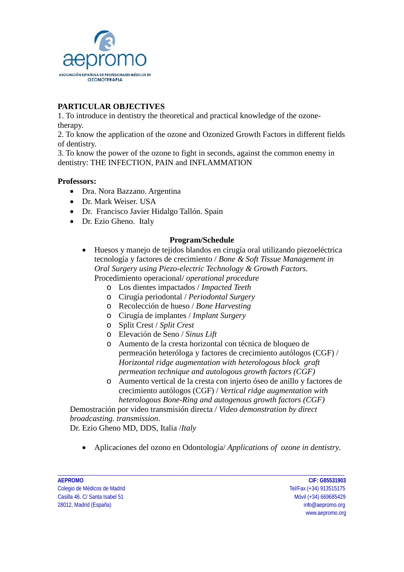

#### **PARTICULAR OBJECTIVES**

1. To introduce in dentistry the theoretical and practical knowledge of the ozonetherapy.

2. To know the application of the ozone and Ozonized Growth Factors in different fields of dentistry.

3. To know the power of the ozone to fight in seconds, against the common enemy in dentistry: THE INFECTION, PAIN and INFLAMMATION

#### **Professors:**

- Dra. Nora Bazzano. Argentina
- Dr. Mark Weiser. USA
- Dr. Francisco Javier Hidalgo Tallón. Spain
- Dr. Ezio Gheno. Italy

#### **Program/Schedule**

- Huesos y manejo de tejidos blandos en cirugía oral utilizando piezoeléctrica tecnología y factores de crecimiento / *Bone & Soft Tissue Management in Oral Surgery using Piezo-electric Technology & Growth Factors.* Procedimiento operacional/ *operational procedure*
	- o Los dientes impactados / *Impacted Teeth*
	- o Cirugía periodontal / *Periodontal Surgery*
	- o Recolección de hueso / *Bone Harvesting*
	- o Cirugía de implantes / *Implant Surgery*
	- o Split Crest / *Split Crest*
	- o Elevación de Seno / *Sinus Lift*
	- o Aumento de la cresta horizontal con técnica de bloqueo de permeación heteróloga y factores de crecimiento autólogos (CGF) / *Horizontal ridge augmentation with heterologous block graft permeation technique and autologous growth factors (CGF)*
	- o Aumento vertical de la cresta con injerto óseo de anillo y factores de crecimiento autólogos (CGF) / *Vertical ridge augmentation with heterologous Bone-Ring and autogenous growth factors (CGF)*

Demostración por video transmisión directa / *Video demonstration by direct broadcasting. transmission*.

Dr. Ezio Gheno MD, DDS, Italia /*Italy*

• Aplicaciones del ozono en Odontología/ *Applications of ozone in dentistry.*

\_\_\_\_\_\_\_\_\_\_\_\_\_\_\_\_\_\_\_\_\_\_\_\_\_\_\_\_\_\_\_\_\_\_\_\_\_\_\_\_\_\_\_\_\_\_\_\_\_\_\_\_\_\_\_\_\_\_\_\_\_\_\_\_\_\_\_\_\_\_\_\_\_\_\_\_\_\_\_\_\_\_\_\_\_\_\_\_\_\_\_\_\_\_\_\_\_\_\_\_\_\_\_

Colegio de Médicos de Madrid Tel/Fax (+34) 913515175 Casilla 46, C/ Santa Isabel 51 and 2008 100 minutes and 2008 100 minutes and 2008/09/09 minutes and 2008/09/09 28012, Madrid (España) info@aepromo.org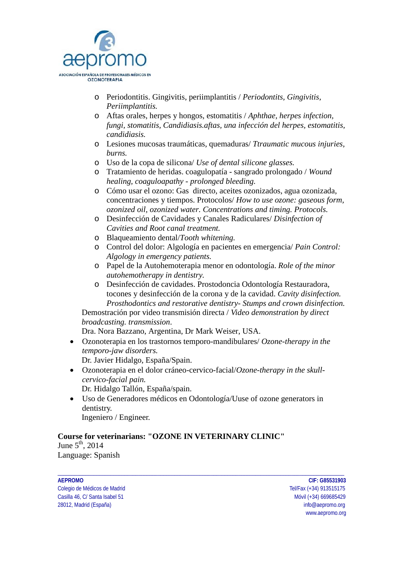

- o Periodontitis. Gingivitis, periimplantitis / *Periodontits, Gingivitis, Periimplantitis.*
- o Aftas orales, herpes y hongos, estomatitis / *Aphthae, herpes infection, fungi, stomatitis, Candidiasis.aftas, una infección del herpes, estomatitis, candidiasis.*
- o Lesiones mucosas traumáticas, quemaduras/ *Ttraumatic mucous injuries, burns.*
- o Uso de la copa de silicona/ *Use of dental silicone glasses.*
- o Tratamiento de heridas. coagulopatía sangrado prolongado / *Wound healing, coaguloapathy - prolonged bleeding.*
- o Cómo usar el ozono: Gas directo, aceites ozonizados, agua ozonizada, concentraciones y tiempos. Protocolos/ *How to use ozone: gaseous form, ozonized oil, ozonized water. Concentrations and timing. Protocols.*
- o Desinfección de Cavidades y Canales Radiculares/ *Disinfection of Cavities and Root canal treatment.*
- o Blaqueamiento dental/*Tooth whitening.*
- o Control del dolor: Algología en pacientes en emergencia/ *Pain Control: Algology in emergency patients.*
- o Papel de la Autohemoterapia menor en odontología. *Role of the minor autohemotherapy in dentistry.*
- o Desinfección de cavidades. Prostodoncia Odontología Restauradora, tocones y desinfección de la corona y de la cavidad. *Cavity disinfection. Prosthodontics and restorative dentistry- Stumps and crown disinfection.*

Demostración por video transmisión directa / *Video demonstration by direct broadcasting. transmission*.

Dra. Nora Bazzano, Argentina, Dr Mark Weiser, USA.

- Ozonoterapia en los trastornos temporo-mandibulares/ *Ozone-therapy in the temporo-jaw disorders.* Dr. Javier Hidalgo, España/Spain.
	-
- Ozonoterapia en el dolor cráneo-cervico-facial/*Ozone-therapy in the skullcervico-facial pain.*

Dr. Hidalgo Tallón, España/spain.

• Uso de Generadores médicos en Odontología/Uuse of ozone generators in dentistry. Ingeniero / Engineer.

\_\_\_\_\_\_\_\_\_\_\_\_\_\_\_\_\_\_\_\_\_\_\_\_\_\_\_\_\_\_\_\_\_\_\_\_\_\_\_\_\_\_\_\_\_\_\_\_\_\_\_\_\_\_\_\_\_\_\_\_\_\_\_\_\_\_\_\_\_\_\_\_\_\_\_\_\_\_\_\_\_\_\_\_\_\_\_\_\_\_\_\_\_\_\_\_\_\_\_\_\_\_\_

# **Course for veterinarians: "OZONE IN VETERINARY CLINIC"**

June  $5<sup>th</sup>$ , 2014 Language: Spanish

Colegio de Médicos de Madrid Tel/Fax (+34) 913515175 Casilla 46, C/ Santa Isabel 51 and 2008 100 minutes and 2008 100 minutes and 2008/09/09 minutes and 2008/09/09 28012, Madrid (España) info@aepromo.org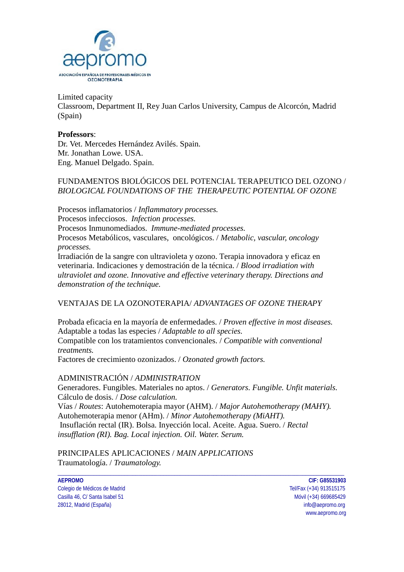

Limited capacity Classroom, Department II, Rey Juan Carlos University, Campus de Alcorcón, Madrid (Spain)

#### **Professors**:

Dr. Vet. Mercedes Hernández Avilés. Spain. Mr. Jonathan Lowe. USA. Eng. Manuel Delgado. Spain.

#### FUNDAMENTOS BIOLÓGICOS DEL POTENCIAL TERAPEUTICO DEL OZONO / *BIOLOGICAL FOUNDATIONS OF THE THERAPEUTIC POTENTIAL OF OZONE*

Procesos inflamatorios / *Inflammatory processes.* Procesos infecciosos. *Infection processes.* Procesos Inmunomediados. *Immune-mediated processes.* Procesos Metabólicos, vasculares, oncológicos. / *Metabolic, vascular, oncology processes.* Irradiación de la sangre con ultravioleta y ozono. Terapia innovadora y eficaz en veterinaria. Indicaciones y demostración de la técnica. / *Blood irradiation with* 

## *ultraviolet and ozone. Innovative and effective veterinary therapy. Directions and demonstration of the technique.*

#### VENTAJAS DE LA OZONOTERAPIA/ *ADVANTAGES OF OZONE THERAPY*

Probada eficacia en la mayoría de enfermedades. / *Proven effective in most diseases.* Adaptable a todas las especies / *Adaptable to all species.* Compatible con los tratamientos convencionales. / *Compatible with conventional treatments.* Factores de crecimiento ozonizados. / *Ozonated growth factors.*

#### ADMINISTRACIÓN / *ADMINISTRATION*

Generadores. Fungibles. Materiales no aptos. / *Generators. Fungible. Unfit materials.*  Cálculo de dosis. / *Dose calculation.* Vías / *Routes*: Autohemoterapia mayor (AHM). / *Major Autohemotherapy (MAHY).* Autohemoterapia menor (AHm). / *Minor Autohemotherapy (MiAHT).*

\_\_\_\_\_\_\_\_\_\_\_\_\_\_\_\_\_\_\_\_\_\_\_\_\_\_\_\_\_\_\_\_\_\_\_\_\_\_\_\_\_\_\_\_\_\_\_\_\_\_\_\_\_\_\_\_\_\_\_\_\_\_\_\_\_\_\_\_\_\_\_\_\_\_\_\_\_\_\_\_\_\_\_\_\_\_\_\_\_\_\_\_\_\_\_\_\_\_\_\_\_\_\_

Insuflación rectal (IR). Bolsa. Inyección local. Aceite. Agua. Suero. / *Rectal insufflation (RI). Bag. Local injection. Oil. Water. Serum.* 

PRINCIPALES APLICACIONES / *MAIN APPLICATIONS*  Traumatología. / *Traumatology.*

**AEPROMO CIF: G85531903** Colegio de Médicos de Madrid Tel/Fax (+34) 913515175 Casilla 46, C/ Santa Isabel 51 and 2008 100 minutes and 2008 100 minutes and 2008/09/09 minutes and 2008/09/09 28012, Madrid (España) info@aepromo.org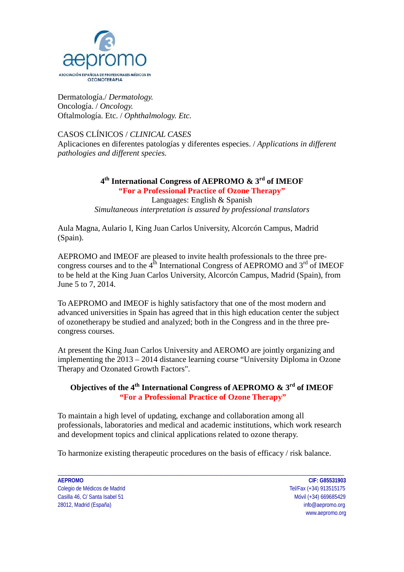

Dermatología./ *Dermatology.* Oncología. / *Oncology.*  Oftalmología. Etc. / *Ophthalmology. Etc.* 

CASOS CLÍNICOS / *CLINICAL CASES* Aplicaciones en diferentes patologías y diferentes especies. / *Applications in different pathologies and different species.*

> **4th International Congress of AEPROMO & 3rd of IMEOF "For a Professional Practice of Ozone Therapy"** Languages: English & Spanish *Simultaneous interpretation is assured by professional translators*

Aula Magna, Aulario I, King Juan Carlos University, Alcorcón Campus, Madrid (Spain).

AEPROMO and IMEOF are pleased to invite health professionals to the three precongress courses and to the  $4<sup>th</sup>$  International Congress of AEPROMO and  $3<sup>rd</sup>$  of IMEOF to be held at the King Juan Carlos University, Alcorcón Campus, Madrid (Spain), from June 5 to 7, 2014.

To AEPROMO and IMEOF is highly satisfactory that one of the most modern and advanced universities in Spain has agreed that in this high education center the subject of ozonetherapy be studied and analyzed; both in the Congress and in the three precongress courses.

At present the King Juan Carlos University and AEROMO are jointly organizing and implementing the 2013 – 2014 distance learning course "University Diploma in Ozone Therapy and Ozonated Growth Factors".

### **Objectives of the 4th International Congress of AEPROMO & 3rd of IMEOF "For a Professional Practice of Ozone Therapy"**

To maintain a high level of updating, exchange and collaboration among all professionals, laboratories and medical and academic institutions, which work research and development topics and clinical applications related to ozone therapy.

\_\_\_\_\_\_\_\_\_\_\_\_\_\_\_\_\_\_\_\_\_\_\_\_\_\_\_\_\_\_\_\_\_\_\_\_\_\_\_\_\_\_\_\_\_\_\_\_\_\_\_\_\_\_\_\_\_\_\_\_\_\_\_\_\_\_\_\_\_\_\_\_\_\_\_\_\_\_\_\_\_\_\_\_\_\_\_\_\_\_\_\_\_\_\_\_\_\_\_\_\_\_\_

To harmonize existing therapeutic procedures on the basis of efficacy / risk balance.

**AEPROMO CIF: G85531903** Colegio de Médicos de Madrid Tel/Fax (+34) 913515175 Casilla 46, C/ Santa Isabel 51 and 2008 100 minutes and 2008 100 minutes and 2008/09/09 minutes and 2008/09/09 28012, Madrid (España) info@aepromo.org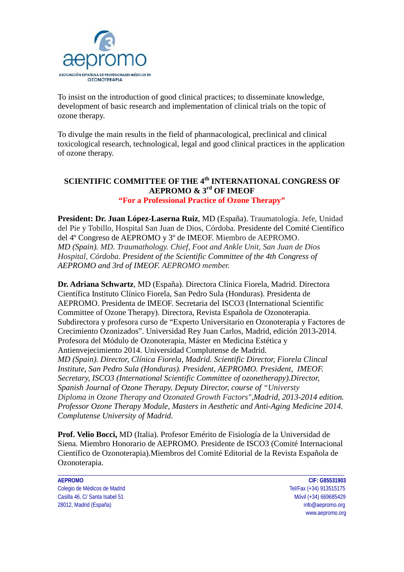

To insist on the introduction of good clinical practices; to disseminate knowledge, development of basic research and implementation of clinical trials on the topic of ozone therapy.

To divulge the main results in the field of pharmacological, preclinical and clinical toxicological research, technological, legal and good clinical practices in the application of ozone therapy.

#### **SCIENTIFIC COMMITTEE OF THE 4th INTERNATIONAL CONGRESS OF AEPROMO & 3rd OF IMEOF "For a Professional Practice of Ozone Therapy"**

**President: Dr. Juan López-Laserna Ruiz**, MD (España). Traumatología. Jefe, Unidad del Pie y Tobillo, Hospital San Juan de Dios, Córdoba. Presidente del Comité Científico del 4º Congreso de AEPROMO y 3º de IMEOF. Miembro de AEPROMO. *MD (Spain). MD. Traumathology. Chief, Foot and Ankle Unit, San Juan de Dios Hospital, Córdoba. President of the Scientific Committee of the 4th Congress of AEPROMO and 3rd of IMEOF. AEPROMO member.*

**Dr. Adriana Schwartz**, MD (España). Directora Clínica Fiorela, Madrid. Directora Científica Instituto Clínico Fiorela, San Pedro Sula (Honduras). Presidenta de AEPROMO. Presidenta de IMEOF. Secretaria del ISCO3 (International Scientific Committee of Ozone Therapy). Directora, Revista Española de Ozonoterapia. Subdirectora y profesora curso de "Experto Universitario en Ozonoterapia y Factores de Crecimiento Ozonizados". Universidad Rey Juan Carlos, Madrid, edición 2013-2014. Profesora del Módulo de Ozonoterapia, Máster en Medicina Estética y Antienvejecimiento 2014. Universidad Complutense de Madrid.

*MD (Spain). Director, Clínica Fiorela, Madrid. Scientific Director, Fiorela Clincal Institute, San Pedro Sula (Honduras). President, AEPROMO. President, IMEOF. Secretary, ISCO3 (International Scientific Committee of ozonetherapy).Director, Spanish Journal of Ozone Therapy. Deputy Director, course of "Universty Diploma in Ozone Therapy and Ozonated Growth Factors",Madrid, 2013-2014 edition. Professor Ozone Therapy Module, Masters in Aesthetic and Anti-Aging Medicine 2014. Complutense University of Madrid.*

**Prof. Velio Bocci,** MD (Italia). Profesor Emérito de Fisiología de la Universidad de Siena. Miembro Honorario de AEPROMO. Presidente de ISCO3 (Comité Internacional Científico de Ozonoterapia).Miembros del Comité Editorial de la Revista Española de Ozonoterapia.

\_\_\_\_\_\_\_\_\_\_\_\_\_\_\_\_\_\_\_\_\_\_\_\_\_\_\_\_\_\_\_\_\_\_\_\_\_\_\_\_\_\_\_\_\_\_\_\_\_\_\_\_\_\_\_\_\_\_\_\_\_\_\_\_\_\_\_\_\_\_\_\_\_\_\_\_\_\_\_\_\_\_\_\_\_\_\_\_\_\_\_\_\_\_\_\_\_\_\_\_\_\_\_

**AEPROMO CIF: G85531903** Colegio de Médicos de Madrid Tel/Fax (+34) 913515175 Casilla 46, C/ Santa Isabel 51 and 2008 100 minutes and 2008 100 minutes and 2008/09/09 minutes and 2008/09/09 28012, Madrid (España) info@aepromo.org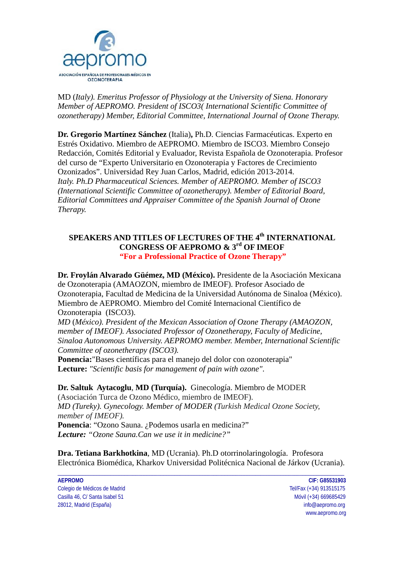

MD (*Italy). Emeritus Professor of Physiology at the University of Siena. Honorary Member of AEPROMO. President of ISCO3( International Scientific Committee of ozonetherapy) Member, Editorial Committee, International Journal of Ozone Therapy.*

**Dr. Gregorio Martínez Sánchez** (Italia)**,** Ph.D. Ciencias Farmacéuticas. Experto en Estrés Oxidativo. Miembro de AEPROMO. Miembro de ISCO3. Miembro Consejo Redacción, Comités Editorial y Evaluador, Revista Española de Ozonoterapia. Profesor del curso de "Experto Universitario en Ozonoterapia y Factores de Crecimiento Ozonizados". Universidad Rey Juan Carlos, Madrid, edición 2013-2014. *Italy. Ph.D Pharmaceutical Sciences. Member of AEPROMO. Member of ISCO3 (International Scientific Committee of ozonetherapy). Member of Editorial Board, Editorial Committees and Appraiser Committee of the Spanish Journal of Ozone Therapy.*

#### **SPEAKERS AND TITLES OF LECTURES OF THE 4th INTERNATIONAL CONGRESS OF AEPROMO & 3rd OF IMEOF "For a Professional Practice of Ozone Therapy"**

**Dr. Froylán Alvarado Güémez, MD (México).** Presidente de la Asociación Mexicana de Ozonoterapia (AMAOZON, miembro de IMEOF). Profesor Asociado de Ozonoterapia, Facultad de Medicina de la Universidad Autónoma de Sinaloa (México). Miembro de AEPROMO. Miembro del Comité Internacional Científico de Ozonoterapia (ISCO3).

*MD* (*México). President of the Mexican Association of Ozone Therapy (AMAOZON, member of IMEOF). Associated Professor of Ozonetherapy, Faculty of Medicine, Sinaloa Autonomous University. AEPROMO member. Member, International Scientific Committee of ozonetherapy (ISCO3).*

**Ponencia:**"Bases científicas para el manejo del dolor con ozonoterapia" **Lecture:** *"Scientific basis for management of pain with ozone"*.

#### **Dr. Saltuk Aytacoglu**, **MD (Turquía).** Ginecología. Miembro de MODER

(Asociación Turca de Ozono Médico, miembro de IMEOF). *MD (Tureky). Gynecology. Member of MODER (Turkish Medical Ozone Society, member of IMEOF).*

**Ponencia**: "Ozono Sauna. ¿Podemos usarla en medicina?" *Lecture: "Ozone Sauna.Can we use it in medicine?"*

**Dra. Tetiana Barkhotkina**, MD (Ucrania). Ph.D otorrinolaringología. Profesora Electrónica Biomédica, Kharkov Universidad Politécnica Nacional de Járkov (Ucrania).

\_\_\_\_\_\_\_\_\_\_\_\_\_\_\_\_\_\_\_\_\_\_\_\_\_\_\_\_\_\_\_\_\_\_\_\_\_\_\_\_\_\_\_\_\_\_\_\_\_\_\_\_\_\_\_\_\_\_\_\_\_\_\_\_\_\_\_\_\_\_\_\_\_\_\_\_\_\_\_\_\_\_\_\_\_\_\_\_\_\_\_\_\_\_\_\_\_\_\_\_\_\_\_

**AEPROMO CIF: G85531903** Colegio de Médicos de Madrid Tel/Fax (+34) 913515175 Casilla 46, C/ Santa Isabel 51 Móvil (+34) 669685429 28012, Madrid (España) info@aepromo.org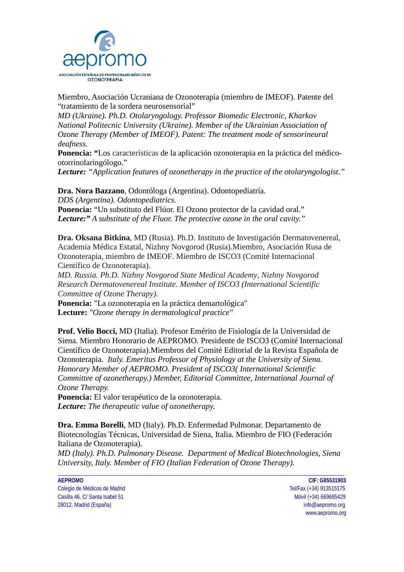

Miembro, Asociación Ucraniana de Ozonoterapia (miembro de IMEOF). Patente del "tratamiento de la sordera neurosensorial"

*MD (Ukraine). Ph.D. Otolaryngology. Professor Biomedic Electronic, Kharkov National Politecnic University (Ukraine). Member of the Ukrainian Association of Ozone Therapy (Member of IMEOF). Patent: The treatment mode of sensorineural deafness.*

**Ponencia: "**Los características de la aplicación ozonoterapia en la práctica del médicootorrinolaringólogo."

*Lecture: "Application features of ozonetherapy in the practice of the otolaryngologist."*

**Dra. Nora Bazzano**, Odontóloga (Argentina). Odontopediatría. *DDS (Argentina). Odontopediatrics.* **Ponencia:** "Un substituto del Flúor. El Ozono protector de la cavidad oral." *Lecture:" A substitute of the Fluor. The protective ozone in the oral cavity."*

**Dra. Oksana Bitkina**, MD (Rusia). Ph.D. Instituto de Investigación Dermatovenereal, Academia Médica Estatal, Nizhny Novgorod (Rusia).Miembro, Asociación Rusa de Ozonoterapia, miembro de IMEOF. Miembro de ISCO3 (Comité Internacional Científico de Ozonoterapia).

*MD. Russia. Ph.D. Nizhny Novgorod State Medical Academy, Nizhny Novgorod Research Dermatovenereal Institute. Member of ISCO3 (International Scientific Committee of Ozone Therapy).*

**Ponencia:** "La ozonoterapia en la práctica demartológica" **Lecture:** *"Ozone therapy in dermatological practice"*

**Prof. Velio Bocci,** MD (Italia). Profesor Emérito de Fisiología de la Universidad de Siena. Miembro Honorario de AEPROMO. Presidente de ISCO3 (Comité Internacional Científico de Ozonoterapia).Miembros del Comité Editorial de la Revista Española de Ozonoterapia. *Italy. Emeritus Professor of Physiology at the University of Siena. Honorary Member of AEPROMO. President of ISCO3( International Scientific Committee of ozonetherapy.) Member, Editorial Committee, International Journal of Ozone Therapy.*

**Ponencia:** El valor terapéutico de la ozonoterapia. *Lecture: The therapeutic value of ozonetherapy.*

**Dra. Emma Borelli**, MD (Italy). Ph.D. Enfermedad Pulmonar. Departamento de Biotecnologías Técnicas, Universidad de Siena, Italia. Miembro de FIO (Federación Italiana de Ozonoterapia).

*MD (Italy). Ph.D. Pulmonary Disease. Department of Medical Biotechnologies, Siena University, Italy. Member of FIO (Italian Federation of Ozone Therapy).* 

\_\_\_\_\_\_\_\_\_\_\_\_\_\_\_\_\_\_\_\_\_\_\_\_\_\_\_\_\_\_\_\_\_\_\_\_\_\_\_\_\_\_\_\_\_\_\_\_\_\_\_\_\_\_\_\_\_\_\_\_\_\_\_\_\_\_\_\_\_\_\_\_\_\_\_\_\_\_\_\_\_\_\_\_\_\_\_\_\_\_\_\_\_\_\_\_\_\_\_\_\_\_\_

Colegio de Médicos de Madrid Tel/Fax (+34) 913515175 Casilla 46, C/ Santa Isabel 51 and 2008 100 minutes and 2008 100 minutes and 2008/09/09 minutes and 2008/09/09 28012, Madrid (España) info@aepromo.org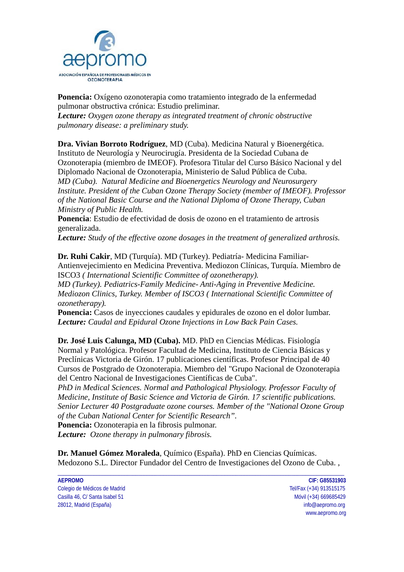

**Ponencia:** Oxígeno ozonoterapia como tratamiento integrado de la enfermedad pulmonar obstructiva crónica: Estudio preliminar. *Lecture: Oxygen ozone therapy as integrated treatment of chronic obstructive pulmonary disease: a preliminary study.*

**Dra. Vivian Borroto Rodríguez**, MD (Cuba). Medicina Natural y Bioenergética. Instituto de Neurología y Neurocirugía. Presidenta de la Sociedad Cubana de Ozonoterapia (miembro de IMEOF). Profesora Titular del Curso Básico Nacional y del Diplomado Nacional de Ozonoterapia, Ministerio de Salud Pública de Cuba. *MD (Cuba). Natural Medicine and Bioenergetics Neurology and Neurosurgery Institute. President of the Cuban Ozone Therapy Society (member of IMEOF). Professor of the National Basic Course and the National Diploma of Ozone Therapy, Cuban Ministry of Public Health.* 

**Ponencia**: Estudio de efectividad de dosis de ozono en el tratamiento de artrosis generalizada.

*Lecture: Study of the effective ozone dosages in the treatment of generalized arthrosis.*

**Dr. Ruhi Cakir**, MD (Turquía). MD (Turkey). Pediatría- Medicina Familiar-Antienvejecimiento en Medicina Preventiva. Mediozon Clínicas, Turquía. Miembro de ISCO3 *( International Scientific Committee of ozonetherapy).*

*MD (Turkey). Pediatrics-Family Medicine- Anti-Aging in Preventive Medicine. Mediozon Clinics, Turkey. Member of ISCO3 ( International Scientific Committee of ozonetherapy).*

**Ponencia:** Casos de inyecciones caudales y epidurales de ozono en el dolor lumbar. *Lecture: Caudal and Epidural Ozone Injections in Low Back Pain Cases.*

**Dr. José Luis Calunga, MD (Cuba).** MD. PhD en Ciencias Médicas. Fisiología Normal y Patológica. Profesor Facultad de Medicina, Instituto de Ciencia Básicas y Preclínicas Victoria de Girón. 17 publicaciones científicas. Profesor Principal de 40 Cursos de Postgrado de Ozonoterapia. Miembro del "Grupo Nacional de Ozonoterapia del Centro Nacional de Investigaciones Científicas de Cuba".

*PhD in Medical Sciences. Normal and Pathological Physiology. Professor Faculty of Medicine, Institute of Basic Science and Victoria de Girón. 17 scientific publications. Senior Lecturer 40 Postgraduate ozone courses. Member of the "National Ozone Group of the Cuban National Center for Scientific Research".*

**Ponencia:** Ozonoterapia en la fibrosis pulmonar. *Lecture: Ozone therapy in pulmonary fibrosis.*

**Dr. Manuel Gómez Moraleda**, Químico (España). PhD en Ciencias Químicas. Medozono S.L. Director Fundador del Centro de Investigaciones del Ozono de Cuba. ,

\_\_\_\_\_\_\_\_\_\_\_\_\_\_\_\_\_\_\_\_\_\_\_\_\_\_\_\_\_\_\_\_\_\_\_\_\_\_\_\_\_\_\_\_\_\_\_\_\_\_\_\_\_\_\_\_\_\_\_\_\_\_\_\_\_\_\_\_\_\_\_\_\_\_\_\_\_\_\_\_\_\_\_\_\_\_\_\_\_\_\_\_\_\_\_\_\_\_\_\_\_\_\_

| AEPROMO                        | CIF: G85531903          |
|--------------------------------|-------------------------|
| Colegio de Médicos de Madrid   | Tel/Fax (+34) 913515175 |
| Casilla 46, C/ Santa Isabel 51 | Móvil (+34) 669685429   |
| 28012, Madrid (España)         | info@aepromo.org        |

Tel/Fax (+34) 913515175 Móvil (+34) 669685429 info@aepromo.org www.aepromo.org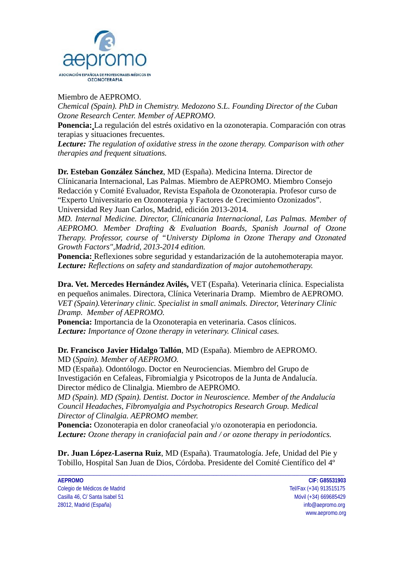

Miembro de AEPROMO.

*Chemical (Spain). PhD in Chemistry. Medozono S.L. Founding Director of the Cuban Ozone Research Center. Member of AEPROMO.*

**Ponencia:** La regulación del estrés oxidativo en la ozonoterapia. Comparación con otras terapias y situaciones frecuentes.

*Lecture: The regulation of oxidative stress in the ozone therapy. Comparison with other therapies and frequent situations.*

**Dr. Esteban González Sánchez**, MD (España). Medicina Interna. Director de Clínicanaria Internacional, Las Palmas. Miembro de AEPROMO. Miembro Consejo Redacción y Comité Evaluador, Revista Española de Ozonoterapia. Profesor curso de "Experto Universitario en Ozonoterapia y Factores de Crecimiento Ozonizados". Universidad Rey Juan Carlos, Madrid, edición 2013-2014.

*MD. Internal Medicine. Director, Clínicanaria Internacional, Las Palmas. Member of AEPROMO. Member Drafting & Evaluation Boards, Spanish Journal of Ozone Therapy. Professor, course of "Universty Diploma in Ozone Therapy and Ozonated Growth Factors",Madrid, 2013-2014 edition.*

**Ponencia:** Reflexiones sobre seguridad y estandarización de la autohemoterapia mayor. *Lecture: Reflections on safety and standardization of major autohemotherapy.*

**Dra. Vet. Mercedes Hernández Avilés,** VET (España). Veterinaria clínica. Especialista en pequeños animales. Directora, Clínica Veterinaria Dramp. Miembro de AEPROMO. *VET (Spain).Veterinary clinic. Specialist in small animals. Director, Veterinary Clinic Dramp. Member of AEPROMO.*

**Ponencia:** Importancia de la Ozonoterapia en veterinaria. Casos clínicos. *Lecture: Importance of Ozone therapy in veterinary. Clinical cases.*

#### **Dr. Francisco Javier Hidalgo Tallón**, MD (España). Miembro de AEPROMO. MD (*Spain). Member of AEPROMO.*

MD (España). Odontólogo. Doctor en Neurociencias. Miembro del Grupo de Investigación en Cefaleas, Fibromialgia y Psicotropos de la Junta de Andalucía. Director médico de Clinalgia. Miembro de AEPROMO.

*MD (Spain). MD (Spain). Dentist. Doctor in Neuroscience. Member of the Andalucía Council Headaches, Fibromyalgia and Psychotropics Research Group. Medical Director of Clinalgia. AEPROMO member.*

**Ponencia:** Ozonoterapia en dolor craneofacial y/o ozonoterapia en periodoncia. *Lecture: Ozone therapy in craniofacial pain and / or ozone therapy in periodontics.*

**Dr. Juan López-Laserna Ruiz**, MD (España). Traumatología. Jefe, Unidad del Pie y Tobillo, Hospital San Juan de Dios, Córdoba. Presidente del Comité Científico del 4º

\_\_\_\_\_\_\_\_\_\_\_\_\_\_\_\_\_\_\_\_\_\_\_\_\_\_\_\_\_\_\_\_\_\_\_\_\_\_\_\_\_\_\_\_\_\_\_\_\_\_\_\_\_\_\_\_\_\_\_\_\_\_\_\_\_\_\_\_\_\_\_\_\_\_\_\_\_\_\_\_\_\_\_\_\_\_\_\_\_\_\_\_\_\_\_\_\_\_\_\_\_\_\_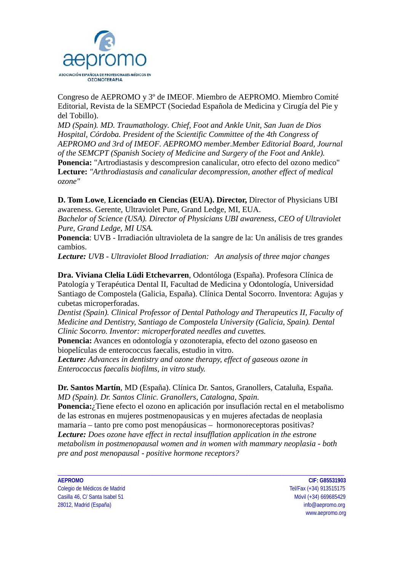

Congreso de AEPROMO y 3º de IMEOF. Miembro de AEPROMO. Miembro Comité Editorial, Revista de la SEMPCT (Sociedad Española de Medicina y Cirugía del Pie y del Tobillo).

*MD (Spain). MD. Traumathology. Chief, Foot and Ankle Unit, San Juan de Dios Hospital, Córdoba. President of the Scientific Committee of the 4th Congress of AEPROMO and 3rd of IMEOF. AEPROMO member.Member Editorial Board, Journal of the SEMCPT (Spanish Society of Medicine and Surgery of the Foot and Ankle).* **Ponencia:** "Artrodiastasis y descompresion canalicular, otro efecto del ozono medico" **Lecture:** *"Arthrodiastasis and canalicular decompression, another effect of medical ozone"*

**D. Tom Lowe**, **Licenciado en Ciencias (EUA). Director,** Director of Physicians UBI awareness. Gerente, Ultraviolet Pure, Grand Ledge, MI, EUA.

*Bachelor of Science (USA). Director of Physicians UBI awareness, CEO of Ultraviolet Pure, Grand Ledge, MI USA.*

**Ponencia**: UVB - Irradiación ultravioleta de la sangre de la: Un análisis de tres grandes cambios.

*Lecture: UVB - Ultraviolet Blood Irradiation: An analysis of three major changes* 

**Dra. Viviana Clelia Lüdi Etchevarren**, Odontóloga (España). Profesora Clínica de Patología y Terapéutica Dental II, Facultad de Medicina y Odontología, Universidad Santiago de Compostela (Galicia, España). Clínica Dental Socorro. Inventora: Agujas y cubetas microperforadas.

*Dentist (Spain). Clinical Professor of Dental Pathology and Therapeutics II, Faculty of Medicine and Dentistry, Santiago de Compostela University (Galicia, Spain). Dental Clinic Socorro. Inventor: microperforated needles and cuvettes.*

**Ponencia:** Avances en odontología y ozonoterapia, efecto del ozono gaseoso en biopelículas de enterococcus faecalis, estudio in vitro.

*Lecture: Advances in dentistry and ozone therapy, effect of gaseous ozone in Enterococcus faecalis biofilms, in vitro study.*

**Dr. Santos Martín**, MD (España). Clínica Dr. Santos, Granollers, Cataluña, España. *MD (Spain). Dr. Santos Clinic. Granollers, Catalogna, Spain.* 

**Ponencia:**¿Tiene efecto el ozono en aplicación por insuflación rectal en el metabolismo de las estronas en mujeres postmenopausicas y en mujeres afectadas de neoplasia mamaria – tanto pre como post menopáusicas – hormonoreceptoras positivas? *Lecture: Does ozone have effect in rectal insufflation application in the estrone metabolism in postmenopausal women and in women with mammary neoplasia - both pre and post menopausal - positive hormone receptors?*

\_\_\_\_\_\_\_\_\_\_\_\_\_\_\_\_\_\_\_\_\_\_\_\_\_\_\_\_\_\_\_\_\_\_\_\_\_\_\_\_\_\_\_\_\_\_\_\_\_\_\_\_\_\_\_\_\_\_\_\_\_\_\_\_\_\_\_\_\_\_\_\_\_\_\_\_\_\_\_\_\_\_\_\_\_\_\_\_\_\_\_\_\_\_\_\_\_\_\_\_\_\_\_

Colegio de Médicos de Madrid Tel/Fax (+34) 913515175 Casilla 46, C/ Santa Isabel 51 and 2008 100 minutes and 2008 100 minutes and 2008/09/09 minutes and 2008/09/09 28012, Madrid (España) info@aepromo.org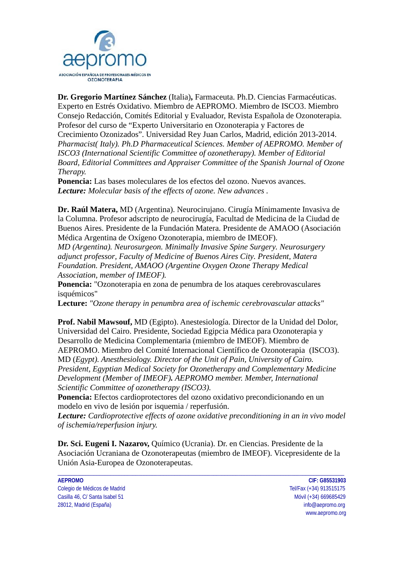

**Dr. Gregorio Martínez Sánchez** (Italia)**,** Farmaceuta. Ph.D. Ciencias Farmacéuticas. Experto en Estrés Oxidativo. Miembro de AEPROMO. Miembro de ISCO3. Miembro Consejo Redacción, Comités Editorial y Evaluador, Revista Española de Ozonoterapia. Profesor del curso de "Experto Universitario en Ozonoterapia y Factores de Crecimiento Ozonizados". Universidad Rey Juan Carlos, Madrid, edición 2013-2014. *Pharmacist( Italy). Ph.D Pharmaceutical Sciences. Member of AEPROMO. Member of ISCO3 (International Scientific Committee of ozonetherapy). Member of Editorial Board, Editorial Committees and Appraiser Committee of the Spanish Journal of Ozone Therapy.*

**Ponencia:** Las bases moleculares de los efectos del ozono. Nuevos avances. *Lecture: Molecular basis of the effects of ozone. New advances .*

**Dr. Raúl Matera,** MD (Argentina). Neurocirujano. Cirugía Mínimamente Invasiva de la Columna. Profesor adscripto de neurocirugía, Facultad de Medicina de la Ciudad de Buenos Aires. Presidente de la Fundación Matera. Presidente de AMAOO (Asociación Médica Argentina de Oxígeno Ozonoterapia, miembro de IMEOF).

*MD (Argentina). Neurosurgeon. Minimally Invasive Spine Surgery. Neurosurgery adjunct professor, Faculty of Medicine of Buenos Aires City. President, Matera Foundation. President, AMAOO (Argentine Oxygen Ozone Therapy Medical Association, member of IMEOF).*

**Ponencia:** "Ozonoterapia en zona de penumbra de los ataques cerebrovasculares isquémicos"

**Lecture:** *"Ozone therapy in penumbra area of ischemic cerebrovascular attacks"*

**Prof. Nabil Mawsouf,** MD (Egipto). Anestesiología. Director de la Unidad del Dolor, Universidad del Cairo. Presidente, Sociedad Egipcia Médica para Ozonoterapia y Desarrollo de Medicina Complementaria (miembro de IMEOF). Miembro de AEPROMO. Miembro del Comité Internacional Científico de Ozonoterapia (ISCO3).

MD (*Egypt). Anesthesiology. Director of the Unit of Pain, University of Cairo. President, Egyptian Medical Society for Ozonetherapy and Complementary Medicine Development (Member of IMEOF). AEPROMO member. Member, International Scientific Committee of ozonetherapy (ISCO3).*

**Ponencia:** Efectos cardioprotectores del ozono oxidativo precondicionando en un modelo en vivo de lesión por isquemia / reperfusión.

*Lecture: Cardioprotective effects of ozone oxidative preconditioning in an in vivo model of ischemia/reperfusion injury.*

**Dr. Sci. Eugeni I. Nazarov,** Químico (Ucrania). Dr. en Ciencias. Presidente de la Asociación Ucraniana de Ozonoterapeutas (miembro de IMEOF). Vicepresidente de la Unión Asia-Europea de Ozonoterapeutas.

\_\_\_\_\_\_\_\_\_\_\_\_\_\_\_\_\_\_\_\_\_\_\_\_\_\_\_\_\_\_\_\_\_\_\_\_\_\_\_\_\_\_\_\_\_\_\_\_\_\_\_\_\_\_\_\_\_\_\_\_\_\_\_\_\_\_\_\_\_\_\_\_\_\_\_\_\_\_\_\_\_\_\_\_\_\_\_\_\_\_\_\_\_\_\_\_\_\_\_\_\_\_\_

Colegio de Médicos de Madrid Tel/Fax (+34) 913515175 Casilla 46, C/ Santa Isabel 51 and 2008 100 minutes and 2008 100 minutes and 2008/09/09 minutes and 2008/09/09 28012, Madrid (España) info@aepromo.org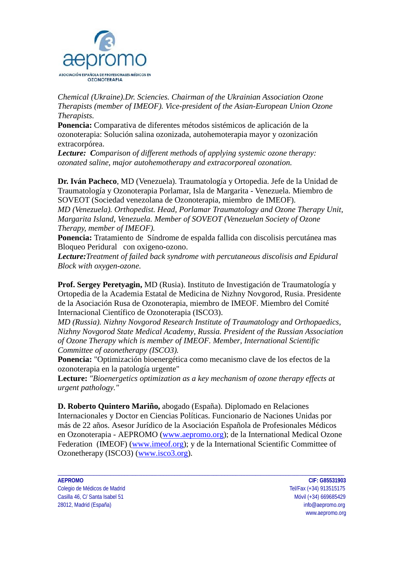

*Chemical (Ukraine).Dr. Sciencies. Chairman of the Ukrainian Association Ozone Therapists (member of IMEOF). Vice-president of the Asian-European Union Ozone Therapists.* 

**Ponencia:** Comparativa de diferentes métodos sistémicos de aplicación de la ozonoterapia: Solución salina ozonizada, autohemoterapia mayor y ozonización extracorpórea.

*Lecture: Comparison of different methods of applying systemic ozone therapy: ozonated saline, major autohemotherapy and extracorporeal ozonation.*

**Dr. Iván Pacheco**, MD (Venezuela). Traumatología y Ortopedia. Jefe de la Unidad de Traumatología y Ozonoterapia Porlamar, Isla de Margarita - Venezuela. Miembro de SOVEOT (Sociedad venezolana de Ozonoterapia, miembro de IMEOF).

*MD (Venezuela). Orthopedist. Head, Porlamar Traumatology and Ozone Therapy Unit, Margarita Island, Venezuela. Member of SOVEOT (Venezuelan Society of Ozone Therapy, member of IMEOF).*

**Ponencia:** Tratamiento de Síndrome de espalda fallida con discolisis percutánea mas Bloqueo Peridural con oxigeno-ozono.

*Lecture:Treatment of failed back syndrome with percutaneous discolisis and Epidural Block with oxygen-ozone.*

**Prof. Sergey Peretyagin,** MD (Rusia). Instituto de Investigación de Traumatología y Ortopedia de la Academia Estatal de Medicina de Nizhny Novgorod, Rusia. Presidente de la Asociación Rusa de Ozonoterapia, miembro de IMEOF. Miembro del Comité Internacional Científico de Ozonoterapia (ISCO3).

*MD (Russia). Nizhny Novgorod Research Institute of Traumatology and Orthopaedics, Nizhny Novgorod State Medical Academy, Russia. President of the Russian Association of Ozone Therapy which is member of IMEOF. Member, International Scientific Committee of ozonetherapy (ISCO3).*

**Ponencia:** "Optimización bioenergética como mecanismo clave de los efectos de la ozonoterapia en la patología urgente"

**Lecture:** *"Bioenergetics optimization as a key mechanism of ozone therapy effects at urgent pathology."*

**D. Roberto Quintero Mariño,** abogado (España). Diplomado en Relaciones Internacionales y Doctor en Ciencias Políticas. Funcionario de Naciones Unidas por más de 22 años. Asesor Jurídico de la Asociación Española de Profesionales Médicos en Ozonoterapia - AEPROMO [\(www.aepromo.org\)](http://www.aepromo.org/); de la International Medical Ozone Federation (IMEOF) [\(www.imeof.org\)](http://www.imeof.org/); y de la International Scientific Committee of Ozonetherapy (ISCO3) [\(www.isco3.org\)](http://www.isco3.org/).

\_\_\_\_\_\_\_\_\_\_\_\_\_\_\_\_\_\_\_\_\_\_\_\_\_\_\_\_\_\_\_\_\_\_\_\_\_\_\_\_\_\_\_\_\_\_\_\_\_\_\_\_\_\_\_\_\_\_\_\_\_\_\_\_\_\_\_\_\_\_\_\_\_\_\_\_\_\_\_\_\_\_\_\_\_\_\_\_\_\_\_\_\_\_\_\_\_\_\_\_\_\_\_

Colegio de Médicos de Madrid Tel/Fax (+34) 913515175 Casilla 46, C/ Santa Isabel 51 and 2008 100 minutes and 2008 100 minutes and 2008/09/09 minutes and 2008/09/09 28012, Madrid (España) info@aepromo.org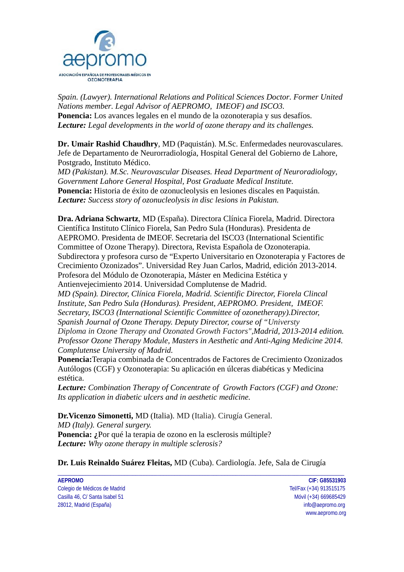

*Spain. (Lawyer). International Relations and Political Sciences Doctor. Former United Nations member. Legal Advisor of AEPROMO, IMEOF) and ISCO3.*  **Ponencia:** Los avances legales en el mundo de la ozonoterapia y sus desafíos. *Lecture: Legal developments in the world of ozone therapy and its challenges.*

**Dr. Umair Rashid Chaudhry**, MD (Paquistán). M.Sc. Enfermedades neurovasculares. Jefe de Departamento de Neurorradiología, Hospital General del Gobierno de Lahore, Postgrado, Instituto Médico.

*MD (Pakistan). M.Sc. Neurovascular Diseases. Head Department of Neuroradiology, Government Lahore General Hospital, Post Graduate Medical Institute.*  **Ponencia:** Historia de éxito de ozonucleolysis en lesiones discales en Paquistán. *Lecture: Success story of ozonucleolysis in disc lesions in Pakistan.*

**Dra. Adriana Schwartz**, MD (España). Directora Clínica Fiorela, Madrid. Directora Científica Instituto Clínico Fiorela, San Pedro Sula (Honduras). Presidenta de AEPROMO. Presidenta de IMEOF. Secretaria del ISCO3 (International Scientific Committee of Ozone Therapy). Directora, Revista Española de Ozonoterapia. Subdirectora y profesora curso de "Experto Universitario en Ozonoterapia y Factores de Crecimiento Ozonizados". Universidad Rey Juan Carlos, Madrid, edición 2013-2014. Profesora del Módulo de Ozonoterapia, Máster en Medicina Estética y Antienvejecimiento 2014. Universidad Complutense de Madrid.

*MD (Spain). Director, Clínica Fiorela, Madrid. Scientific Director, Fiorela Clincal Institute, San Pedro Sula (Honduras). President, AEPROMO. President, IMEOF. Secretary, ISCO3 (International Scientific Committee of ozonetherapy).Director, Spanish Journal of Ozone Therapy. Deputy Director, course of "Universty Diploma in Ozone Therapy and Ozonated Growth Factors",Madrid, 2013-2014 edition. Professor Ozone Therapy Module, Masters in Aesthetic and Anti-Aging Medicine 2014. Complutense University of Madrid.*

**Ponencia:**Terapia combinada de Concentrados de Factores de Crecimiento Ozonizados Autólogos (CGF) y Ozonoterapia: Su aplicación en úlceras diabéticas y Medicina estética.

*Lecture: Combination Therapy of Concentrate of Growth Factors (CGF) and Ozone: Its application in diabetic ulcers and in aesthetic medicine.* 

**Dr.Vicenzo Simonetti,** MD (Italia). MD (Italia). Cirugía General. *MD (Italy). General surgery.* **Ponencia: ¿**Por qué la terapia de ozono en la esclerosis múltiple? *Lecture: Why ozone therapy in multiple sclerosis?*

**Dr. Luis Reinaldo Suárez Fleitas,** MD (Cuba). Cardiología. Jefe, Sala de Cirugía

\_\_\_\_\_\_\_\_\_\_\_\_\_\_\_\_\_\_\_\_\_\_\_\_\_\_\_\_\_\_\_\_\_\_\_\_\_\_\_\_\_\_\_\_\_\_\_\_\_\_\_\_\_\_\_\_\_\_\_\_\_\_\_\_\_\_\_\_\_\_\_\_\_\_\_\_\_\_\_\_\_\_\_\_\_\_\_\_\_\_\_\_\_\_\_\_\_\_\_\_\_\_\_

**AEPROMO CIF: G85531903** Colegio de Médicos de Madrid Tel/Fax (+34) 913515175 Casilla 46, C/ Santa Isabel 51 and 2008 100 minutes and 2008 100 minutes and 2008/09/09 minutes and 2008/09/09 28012, Madrid (España) info@aepromo.org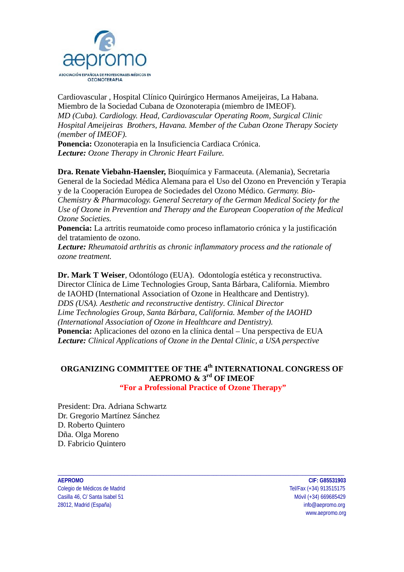

Cardiovascular , Hospital Clínico Quirúrgico Hermanos Ameijeiras, La Habana. Miembro de la Sociedad Cubana de Ozonoterapia (miembro de IMEOF). *MD (Cuba). Cardiology. Head, Cardiovascular Operating Room, Surgical Clinic Hospital Ameijeiras Brothers, Havana. Member of the Cuban Ozone Therapy Society (member of IMEOF).*

**Ponencia:** Ozonoterapia en la Insuficiencia Cardiaca Crónica. *Lecture: Ozone Therapy in Chronic Heart Failure.*

**Dra. Renate Viebahn-Haensler,** Bioquímica y Farmaceuta. (Alemania), Secretaria General de la Sociedad Médica Alemana para el Uso del Ozono en Prevención y Terapia y de la Cooperación Europea de Sociedades del Ozono Médico. *Germany. Bio-Chemistry & Pharmacology. General Secretary of the German Medical Society for the Use of Ozone in Prevention and Therapy and the European Cooperation of the Medical Ozone Societies.*

**Ponencia:** La artritis reumatoide como proceso inflamatorio crónica y la justificación del tratamiento de ozono.

*Lecture: Rheumatoid arthritis as chronic inflammatory process and the rationale of ozone treatment.*

**Dr. Mark T Weiser**, Odontólogo (EUA). Odontología estética y reconstructiva. Director Clínica de Lime Technologies Group, Santa Bárbara, California. Miembro de IAOHD (International Association of Ozone in Healthcare and Dentistry). *DDS (USA). Aesthetic and reconstructive dentistry. Clinical Director Lime Technologies Group, Santa Bárbara, California. Member of the IAOHD (International Association of Ozone in Healthcare and Dentistry).* **Ponencia:** Aplicaciones del ozono en la clínica dental – Una perspectiva de EUA *Lecture: Clinical Applications of Ozone in the Dental Clinic, a USA perspective*

# **ORGANIZING COMMITTEE OF THE 4th INTERNATIONAL CONGRESS OF AEPROMO & 3rd OF IMEOF**

**"For a Professional Practice of Ozone Therapy"**

\_\_\_\_\_\_\_\_\_\_\_\_\_\_\_\_\_\_\_\_\_\_\_\_\_\_\_\_\_\_\_\_\_\_\_\_\_\_\_\_\_\_\_\_\_\_\_\_\_\_\_\_\_\_\_\_\_\_\_\_\_\_\_\_\_\_\_\_\_\_\_\_\_\_\_\_\_\_\_\_\_\_\_\_\_\_\_\_\_\_\_\_\_\_\_\_\_\_\_\_\_\_\_

President: Dra. Adriana Schwartz Dr. Gregorio Martínez Sánchez D. Roberto Quintero Dña. Olga Moreno D. Fabricio Quintero

**AEPROMO CIF: G85531903** Colegio de Médicos de Madrid Tel/Fax (+34) 913515175 Casilla 46, C/ Santa Isabel 51 Móvil (+34) 669685429 28012, Madrid (España) info@aepromo.org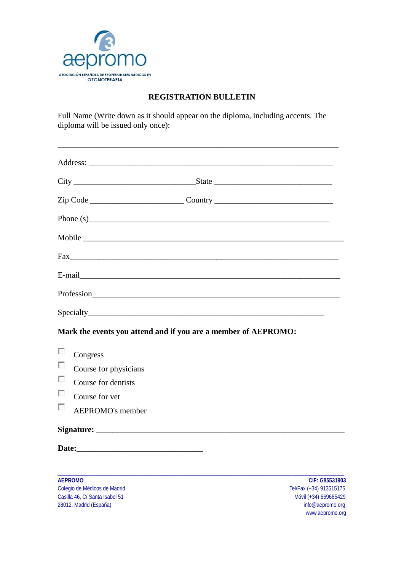

#### **REGISTRATION BULLETIN**

Full Name (Write down as it should appear on the diploma, including accents. The diploma will be issued only once):

| Zip Code ________________________________Country _______________________________                                                                                                                                                                                                                                                            |
|---------------------------------------------------------------------------------------------------------------------------------------------------------------------------------------------------------------------------------------------------------------------------------------------------------------------------------------------|
| Phone (s) $\qquad \qquad$ $\qquad$ $\qquad$ $\qquad$ $\qquad$ $\qquad$ $\qquad$ $\qquad$ $\qquad$ $\qquad$ $\qquad$ $\qquad$ $\qquad$ $\qquad$ $\qquad$ $\qquad$ $\qquad$ $\qquad$ $\qquad$ $\qquad$ $\qquad$ $\qquad$ $\qquad$ $\qquad$ $\qquad$ $\qquad$ $\qquad$ $\qquad$ $\qquad$ $\qquad$ $\qquad$ $\qquad$ $\qquad$ $\qquad$ $\qquad$ |
|                                                                                                                                                                                                                                                                                                                                             |
|                                                                                                                                                                                                                                                                                                                                             |
|                                                                                                                                                                                                                                                                                                                                             |
|                                                                                                                                                                                                                                                                                                                                             |
|                                                                                                                                                                                                                                                                                                                                             |
| Mark the events you attend and if you are a member of AEPROMO:                                                                                                                                                                                                                                                                              |
| $\overline{\phantom{a}}$<br>Congress                                                                                                                                                                                                                                                                                                        |
| $\sim$<br>Course for physicians                                                                                                                                                                                                                                                                                                             |
| n<br>Course for dentists                                                                                                                                                                                                                                                                                                                    |
| $\sim$<br>Course for yet                                                                                                                                                                                                                                                                                                                    |
| $\sim$<br><b>AEPROMO's member</b>                                                                                                                                                                                                                                                                                                           |
|                                                                                                                                                                                                                                                                                                                                             |
|                                                                                                                                                                                                                                                                                                                                             |

\_\_\_\_\_\_\_\_\_\_\_\_\_\_\_\_\_\_\_\_\_\_\_\_\_\_\_\_\_\_\_\_\_\_\_\_\_\_\_\_\_\_\_\_\_\_\_\_\_\_\_\_\_\_\_\_\_\_\_\_\_\_\_\_\_\_\_\_\_\_\_\_\_\_\_\_\_\_\_\_\_\_\_\_\_\_\_\_\_\_\_\_\_\_\_\_\_\_\_\_\_\_\_

**AEPROMO CIF: G85531903**<br>
Colegio de Médicos de Madrid **Tel/Fax** (+34) 913515175 Colegio de Médicos de Madrid (1990) - Colegio de Médicos de Madrid (1991) - Casilla 46, C/Santa Isabel 51 (1991) - Casilla 46, C/Santa Isabel 51 (1992) - Casilla 46, C/Santa Isabel 51 (1992) - Casilla 46, C/Santa Isabel 51 Casilla 46, C/ Santa Isabel 51 Móvil (+34) 669685429<br>28012, Madrid (España) diameter diameter diameter diameter diameter diameter diameter diameter diameter diamet<br>28012, Madrid (España) diameter diameter diameter diameter 28012, Madrid (España)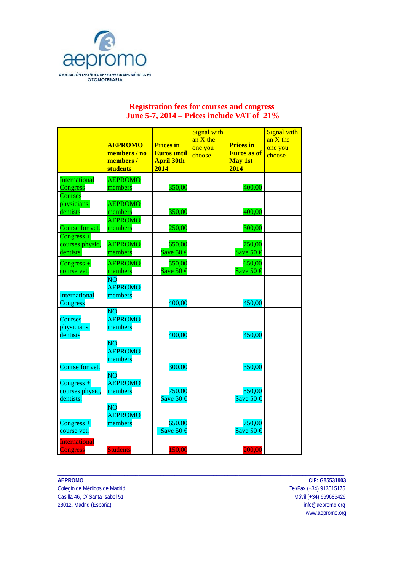

#### **Registration fees for courses and congress June 5-7, 2014 – Prices include VAT of 21%**

|                                              | <b>AEPROMO</b><br>members / no<br>members/<br>students | <b>Prices in</b><br><b>Euros until</b><br><b>April 30th</b><br>2014 | <b>Signal with</b><br>an $X$ the<br>one you<br>choose | <b>Prices in</b><br><b>Euros</b> as of<br><b>May 1st</b><br>2014 | <b>Signal with</b><br>an $X$ the<br>one you<br>choose |
|----------------------------------------------|--------------------------------------------------------|---------------------------------------------------------------------|-------------------------------------------------------|------------------------------------------------------------------|-------------------------------------------------------|
| International<br>Congress                    | <b>AEPROMO</b><br>members                              | 350,00                                                              |                                                       | 400,00                                                           |                                                       |
| Courses<br>physicians,<br>dentists           | <b>AEPROMO</b><br>members                              | 350,00                                                              |                                                       | 400,00                                                           |                                                       |
| Course for vet.                              | <b>AEPROMO</b><br>members                              | 250,00                                                              |                                                       | 300,00                                                           |                                                       |
| $Congress +$<br>courses physic,<br>dentists. | <b>AEPROMO</b><br>members                              | 650,00<br>Save 50 $\text{\textsterling}$                            |                                                       | 750,00<br>Save 50 $\epsilon$                                     |                                                       |
| $Congress +$<br>course vet.                  | <b>AEPROMO</b><br>members                              | 550,00<br>Save 50 $\epsilon$                                        |                                                       | 650,00<br>Save 50 $\epsilon$                                     |                                                       |
| International<br>Congress                    | <b>NO</b><br><b>AEPROMO</b><br>members                 | 400,00                                                              |                                                       | 450,00                                                           |                                                       |
| Courses<br>physicians,<br>dentists           | $\overline{NO}$<br><b>AEPROMO</b><br>members           | 400,00                                                              |                                                       | 450,00                                                           |                                                       |
| Course for vet.                              | $\overline{NO}$<br><b>AEPROMO</b><br>members           | 300,00                                                              |                                                       | 350,00                                                           |                                                       |
| $Congress +$<br>courses physic,<br>dentists. | <b>NO</b><br><b>AEPROMO</b><br>members                 | 750,00<br>Save 50 $\epsilon$                                        |                                                       | 850,00<br>Save 50 $\epsilon$                                     |                                                       |
| $Congress +$<br>course vet.                  | $\overline{NO}$<br><b>AEPROMO</b><br>members           | 650,00<br>Save 50 $\epsilon$                                        |                                                       | 750,00<br>Save 50 $\epsilon$                                     |                                                       |
| International<br><b>Congress</b>             | <b>Students</b>                                        | 150,00                                                              |                                                       | 200,00                                                           |                                                       |

\_\_\_\_\_\_\_\_\_\_\_\_\_\_\_\_\_\_\_\_\_\_\_\_\_\_\_\_\_\_\_\_\_\_\_\_\_\_\_\_\_\_\_\_\_\_\_\_\_\_\_\_\_\_\_\_\_\_\_\_\_\_\_\_\_\_\_\_\_\_\_\_\_\_\_\_\_\_\_\_\_\_\_\_\_\_\_\_\_\_\_\_\_\_\_\_\_\_\_\_\_\_\_

Colegio de Médicos de Madrid (1993) 76 anos de Médicos de Madrid (1993) 76 anos de Santa Casilla 46, C/ Santa Isabel 51 Casilla 46, C/ Santa Isabel 51 Móvil (+34) 669685429<br>28012, Madrid (España) info@aepromo.org 28012, Madrid (España)

**AEPROMO CIF: G85531903**<br>Colegio de Médicos de Madrid **COLECTIFICAL ENTRA EN 2009 12:00 12:00 12:00** Tel/Fax (+34) 913515175 www.aepromo.org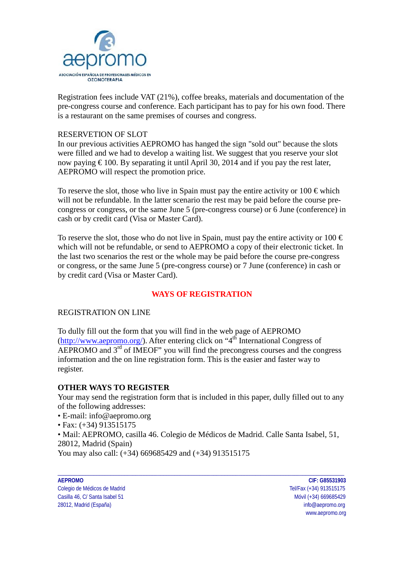

Registration fees include VAT (21%), coffee breaks, materials and documentation of the pre-congress course and conference. Each participant has to pay for his own food. There is a restaurant on the same premises of courses and congress.

#### RESERVETION OF SLOT

In our previous activities AEPROMO has hanged the sign "sold out" because the slots were filled and we had to develop a waiting list. We suggest that you reserve your slot now paying  $\epsilon$  100. By separating it until April 30, 2014 and if you pay the rest later, AEPROMO will respect the promotion price.

To reserve the slot, those who live in Spain must pay the entire activity or  $100 \in \text{which}$ will not be refundable. In the latter scenario the rest may be paid before the course precongress or congress, or the same June 5 (pre-congress course) or 6 June (conference) in cash or by credit card (Visa or Master Card).

To reserve the slot, those who do not live in Spain, must pay the entire activity or  $100 \in$ which will not be refundable, or send to AEPROMO a copy of their electronic ticket. In the last two scenarios the rest or the whole may be paid before the course pre-congress or congress, or the same June 5 (pre-congress course) or 7 June (conference) in cash or by credit card (Visa or Master Card).

#### **WAYS OF REGISTRATION**

#### REGISTRATION ON LINE

To dully fill out the form that you will find in the web page of AEPROMO [\(http://www.aepromo.org/\)](http://www.aepromo.org/). After entering click on "4<sup>th</sup> International Congress of AEPROMO and 3<sup>rd</sup> of IMEOF" you will find the precongress courses and the congress information and the on line registration form. This is the easier and faster way to register.

#### **OTHER WAYS TO REGISTER**

Your may send the registration form that is included in this paper, dully filled out to any of the following addresses:

- E-mail: info@aepromo.org
- Fax: (+34) 913515175

• Mail: AEPROMO, casilla 46. Colegio de Médicos de Madrid. Calle Santa Isabel, 51, 28012, Madrid (Spain)

\_\_\_\_\_\_\_\_\_\_\_\_\_\_\_\_\_\_\_\_\_\_\_\_\_\_\_\_\_\_\_\_\_\_\_\_\_\_\_\_\_\_\_\_\_\_\_\_\_\_\_\_\_\_\_\_\_\_\_\_\_\_\_\_\_\_\_\_\_\_\_\_\_\_\_\_\_\_\_\_\_\_\_\_\_\_\_\_\_\_\_\_\_\_\_\_\_\_\_\_\_\_\_

You may also call: (+34) 669685429 and (+34) 913515175

Colegio de Médicos de Madrid Tel/Fax (+34) 913515175 Casilla 46, C/ Santa Isabel 51 and 2008 100 minutes and 2008 100 minutes and 2008/09/09 minutes and 2008/09/09 28012, Madrid (España) info@aepromo.org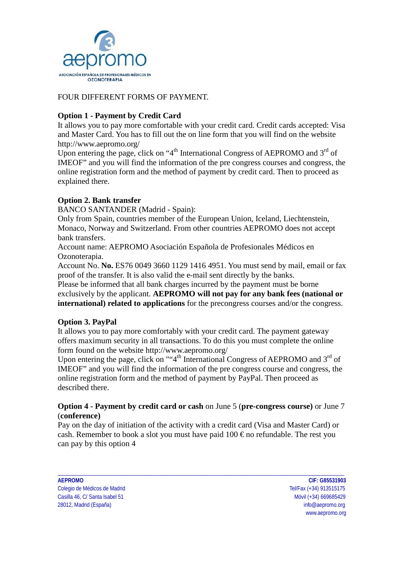

#### FOUR DIFFERENT FORMS OF PAYMENT.

#### **Option 1 - Payment by Credit Card**

It allows you to pay more comfortable with your credit card. Credit cards accepted: Visa and Master Card. You has to fill out the on line form that you will find on the website http://www.aepromo.org/

Upon entering the page, click on "4<sup>th</sup> International Congress of AEPROMO and  $3<sup>rd</sup>$  of IMEOF" and you will find the information of the pre congress courses and congress, the online registration form and the method of payment by credit card. Then to proceed as explained there.

#### **Option 2. Bank transfer**

BANCO SANTANDER (Madrid - Spain):

Only from Spain, countries member of the European Union, Iceland, Liechtenstein, Monaco, Norway and Switzerland. From other countries AEPROMO does not accept bank transfers.

Account name: AEPROMO Asociación Española de Profesionales Médicos en Ozonoterapia.

Account No. **No.** ES76 0049 3660 1129 1416 4951. You must send by mail, email or fax proof of the transfer. It is also valid the e-mail sent directly by the banks.

Please be informed that all bank charges incurred by the payment must be borne exclusively by the applicant. **AEPROMO will not pay for any bank fees (national or international) related to applications** for the precongress courses and/or the congress.

#### **Option 3. PayPal**

It allows you to pay more comfortably with your credit card. The payment gateway offers maximum security in all transactions. To do this you must complete the online form found on the website http://www.aepromo.org/

Upon entering the page, click on ""4<sup>th</sup> International Congress of AEPROMO and  $3<sup>rd</sup>$  of IMEOF" and you will find the information of the pre congress course and congress, the online registration form and the method of payment by PayPal. Then proceed as described there.

#### **Option 4 - Payment by credit card or cash** on June 5 (**pre-congress course)** or June 7 (**conference)**

Pay on the day of initiation of the activity with a credit card (Visa and Master Card) or cash. Remember to book a slot you must have paid  $100 \text{ } \epsilon$  no refundable. The rest you can pay by this option 4

\_\_\_\_\_\_\_\_\_\_\_\_\_\_\_\_\_\_\_\_\_\_\_\_\_\_\_\_\_\_\_\_\_\_\_\_\_\_\_\_\_\_\_\_\_\_\_\_\_\_\_\_\_\_\_\_\_\_\_\_\_\_\_\_\_\_\_\_\_\_\_\_\_\_\_\_\_\_\_\_\_\_\_\_\_\_\_\_\_\_\_\_\_\_\_\_\_\_\_\_\_\_\_

**AEPROMO CIF: G85531903** Colegio de Médicos de Madrid Tel/Fax (+34) 913515175 Casilla 46, C/ Santa Isabel 51 and 2008 100 minutes and 2008 100 minutes and 2008/09/09 minutes and 2008/09/09 28012, Madrid (España) info@aepromo.org